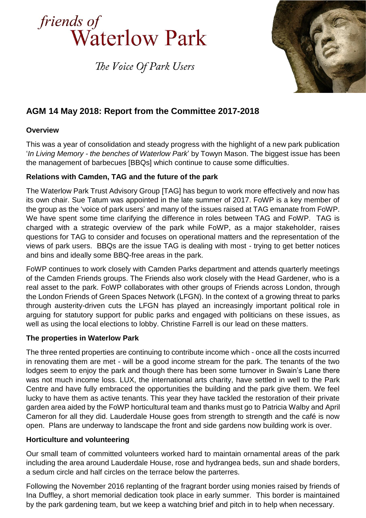

The Voice Of Park Users



# **AGM 14 May 2018: Report from the Committee 2017-2018**

## **Overview**

This was a year of consolidation and steady progress with the highlight of a new park publication '*In Living Memory - the benches of Waterlow Park*' by Towyn Mason. The biggest issue has been the management of barbecues [BBQs] which continue to cause some difficulties.

### **Relations with Camden, TAG and the future of the park**

The Waterlow Park Trust Advisory Group [TAG] has begun to work more effectively and now has its own chair. Sue Tatum was appointed in the late summer of 2017. FoWP is a key member of the group as the 'voice of park users' and many of the issues raised at TAG emanate from FoWP. We have spent some time clarifying the difference in roles between TAG and FoWP. TAG is charged with a strategic overview of the park while FoWP, as a major stakeholder, raises questions for TAG to consider and focuses on operational matters and the representation of the views of park users. BBQs are the issue TAG is dealing with most - trying to get better notices and bins and ideally some BBQ-free areas in the park.

FoWP continues to work closely with Camden Parks department and attends quarterly meetings of the Camden Friends groups. The Friends also work closely with the Head Gardener, who is a real asset to the park. FoWP collaborates with other groups of Friends across London, through the London Friends of Green Spaces Network (LFGN). In the context of a growing threat to parks through austerity-driven cuts the LFGN has played an increasingly important political role in arguing for statutory support for public parks and engaged with politicians on these issues, as well as using the local elections to lobby. Christine Farrell is our lead on these matters.

### **The properties in Waterlow Park**

The three rented properties are continuing to contribute income which - once all the costs incurred in renovating them are met - will be a good income stream for the park. The tenants of the two lodges seem to enjoy the park and though there has been some turnover in Swain's Lane there was not much income loss. LUX, the international arts charity, have settled in well to the Park Centre and have fully embraced the opportunities the building and the park give them. We feel lucky to have them as active tenants. This year they have tackled the restoration of their private garden area aided by the FoWP horticultural team and thanks must go to Patricia Walby and April Cameron for all they did. Lauderdale House goes from strength to strength and the café is now open. Plans are underway to landscape the front and side gardens now building work is over.

### **Horticulture and volunteering**

Our small team of committed volunteers worked hard to maintain ornamental areas of the park including the area around Lauderdale House, rose and hydrangea beds, sun and shade borders, a sedum circle and half circles on the terrace below the parterres.

Following the November 2016 replanting of the fragrant border using monies raised by friends of Ina Duffley, a short memorial dedication took place in early summer. This border is maintained by the park gardening team, but we keep a watching brief and pitch in to help when necessary.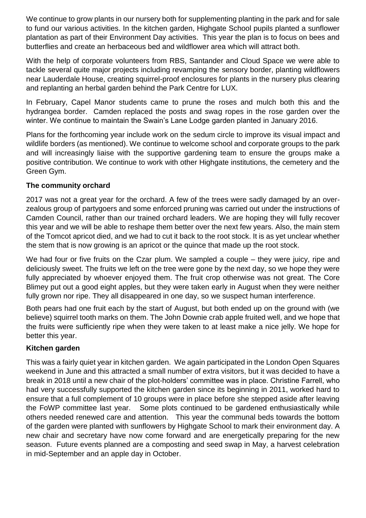We continue to grow plants in our nursery both for supplementing planting in the park and for sale to fund our various activities. In the kitchen garden, Highgate School pupils planted a sunflower plantation as part of their Environment Day activities. This year the plan is to focus on bees and butterflies and create an herbaceous bed and wildflower area which will attract both.

With the help of corporate volunteers from RBS, Santander and Cloud Space we were able to tackle several quite major projects including revamping the sensory border, planting wildflowers near Lauderdale House, creating squirrel-proof enclosures for plants in the nursery plus clearing and replanting an herbal garden behind the Park Centre for LUX.

In February, Capel Manor students came to prune the roses and mulch both this and the hydrangea border. Camden replaced the posts and swag ropes in the rose garden over the winter. We continue to maintain the Swain's Lane Lodge garden planted in January 2016.

Plans for the forthcoming year include work on the sedum circle to improve its visual impact and wildlife borders (as mentioned). We continue to welcome school and corporate groups to the park and will increasingly liaise with the supportive gardening team to ensure the groups make a positive contribution. We continue to work with other Highgate institutions, the cemetery and the Green Gym.

## **The community orchard**

2017 was not a great year for the orchard. A few of the trees were sadly damaged by an overzealous group of partygoers and some enforced pruning was carried out under the instructions of Camden Council, rather than our trained orchard leaders. We are hoping they will fully recover this year and we will be able to reshape them better over the next few years. Also, the main stem of the Tomcot apricot died, and we had to cut it back to the root stock. It is as yet unclear whether the stem that is now growing is an apricot or the quince that made up the root stock.

We had four or five fruits on the Czar plum. We sampled a couple – they were juicy, ripe and deliciously sweet. The fruits we left on the tree were gone by the next day, so we hope they were fully appreciated by whoever enjoyed them. The fruit crop otherwise was not great. The Core Blimey put out a good eight apples, but they were taken early in August when they were neither fully grown nor ripe. They all disappeared in one day, so we suspect human interference.

Both pears had one fruit each by the start of August, but both ended up on the ground with (we believe) squirrel tooth marks on them. The John Downie crab apple fruited well, and we hope that the fruits were sufficiently ripe when they were taken to at least make a nice jelly. We hope for better this year.

### **Kitchen garden**

This was a fairly quiet year in kitchen garden. We again participated in the London Open Squares weekend in June and this attracted a small number of extra visitors, but it was decided to have a break in 2018 until a new chair of the plot-holders' committee was in place. Christine Farrell, who had very successfully supported the kitchen garden since its beginning in 2011, worked hard to ensure that a full complement of 10 groups were in place before she stepped aside after leaving the FoWP committee last year. Some plots continued to be gardened enthusiastically while others needed renewed care and attention. This year the communal beds towards the bottom of the garden were planted with sunflowers by Highgate School to mark their environment day. A new chair and secretary have now come forward and are energetically preparing for the new season. Future events planned are a composting and seed swap in May, a harvest celebration in mid-September and an apple day in October.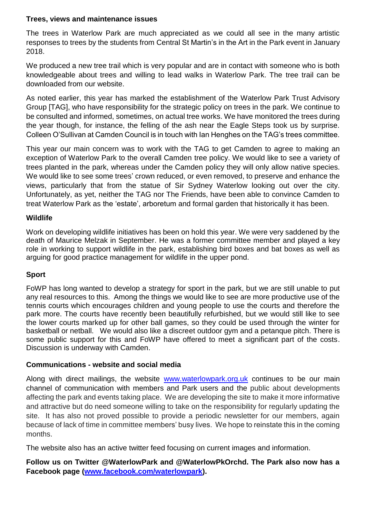#### **Trees, views and maintenance issues**

The trees in Waterlow Park are much appreciated as we could all see in the many artistic responses to trees by the students from Central St Martin's in the Art in the Park event in January 2018.

We produced a new tree trail which is very popular and are in contact with someone who is both knowledgeable about trees and willing to lead walks in Waterlow Park. The tree trail can be downloaded from our website.

As noted earlier, this year has marked the establishment of the Waterlow Park Trust Advisory Group [TAG], who have responsibility for the strategic policy on trees in the park. We continue to be consulted and informed, sometimes, on actual tree works. We have monitored the trees during the year though, for instance, the felling of the ash near the Eagle Steps took us by surprise. Colleen O'Sullivan at Camden Council is in touch with Ian Henghes on the TAG's trees committee.

This year our main concern was to work with the TAG to get Camden to agree to making an exception of Waterlow Park to the overall Camden tree policy. We would like to see a variety of trees planted in the park, whereas under the Camden policy they will only allow native species. We would like to see some trees' crown reduced, or even removed, to preserve and enhance the views, particularly that from the statue of Sir Sydney Waterlow looking out over the city. Unfortunately, as yet, neither the TAG nor The Friends, have been able to convince Camden to treat Waterlow Park as the 'estate', arboretum and formal garden that historically it has been.

### **Wildlife**

Work on developing wildlife initiatives has been on hold this year. We were very saddened by the death of Maurice Melzak in September. He was a former committee member and played a key role in working to support wildlife in the park, establishing bird boxes and bat boxes as well as arguing for good practice management for wildlife in the upper pond.

### **Sport**

FoWP has long wanted to develop a strategy for sport in the park, but we are still unable to put any real resources to this. Among the things we would like to see are more productive use of the tennis courts which encourages children and young people to use the courts and therefore the park more. The courts have recently been beautifully refurbished, but we would still like to see the lower courts marked up for other ball games, so they could be used through the winter for basketball or netball. We would also like a discreet outdoor gym and a petanque pitch. There is some public support for this and FoWP have offered to meet a significant part of the costs. Discussion is underway with Camden.

### **Communications - website and social media**

Along with direct mailings, the website [www.waterlowpark.org.uk](http://www.waterlowpark.org.uk/) continues to be our main channel of communication with members and Park users and the public about developments affecting the park and events taking place. We are developing the site to make it more informative and attractive but do need someone willing to take on the responsibility for regularly updating the site. It has also not proved possible to provide a periodic newsletter for our members, again because of lack of time in committee members' busy lives. We hope to reinstate this in the coming months.

The website also has an active twitter feed focusing on current images and information.

**Follow us on Twitter @WaterlowPark and @WaterlowPkOrchd. The Park also now has a Facebook page [\(www.facebook.com/waterlowpark\)](http://www.facebook.com/waterlowpark).**